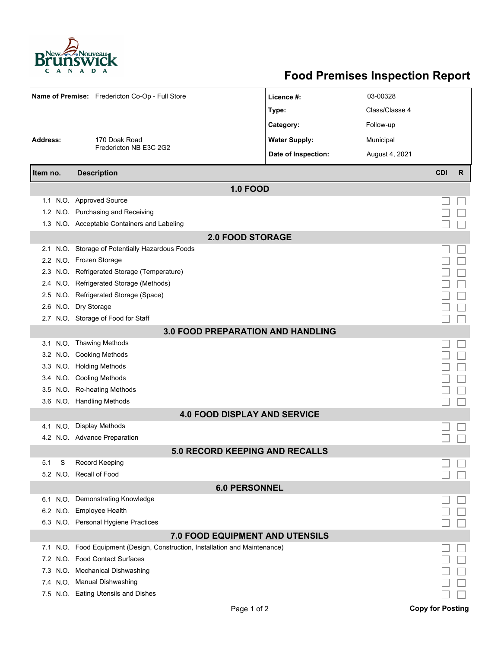

## **Food Premises Inspection Report**

|                                     | Name of Premise: Fredericton Co-Op - Full Store                     | Licence #:           | 03-00328       |                         |   |  |  |  |
|-------------------------------------|---------------------------------------------------------------------|----------------------|----------------|-------------------------|---|--|--|--|
|                                     |                                                                     | Type:                | Class/Classe 4 |                         |   |  |  |  |
|                                     |                                                                     |                      |                |                         |   |  |  |  |
|                                     |                                                                     | Category:            | Follow-up      |                         |   |  |  |  |
| Address:                            | 170 Doak Road<br>Fredericton NB E3C 2G2                             | <b>Water Supply:</b> | Municipal      |                         |   |  |  |  |
|                                     |                                                                     | Date of Inspection:  | August 4, 2021 |                         |   |  |  |  |
| Item no.                            | <b>Description</b>                                                  |                      |                | <b>CDI</b>              | R |  |  |  |
| <b>1.0 FOOD</b>                     |                                                                     |                      |                |                         |   |  |  |  |
|                                     | 1.1 N.O. Approved Source                                            |                      |                |                         |   |  |  |  |
|                                     | 1.2 N.O. Purchasing and Receiving                                   |                      |                |                         |   |  |  |  |
|                                     | 1.3 N.O. Acceptable Containers and Labeling                         |                      |                |                         |   |  |  |  |
| <b>2.0 FOOD STORAGE</b>             |                                                                     |                      |                |                         |   |  |  |  |
| 2.1                                 | N.O. Storage of Potentially Hazardous Foods                         |                      |                |                         |   |  |  |  |
|                                     | 2.2 N.O. Frozen Storage                                             |                      |                |                         |   |  |  |  |
| 2.3                                 | N.O. Refrigerated Storage (Temperature)                             |                      |                |                         |   |  |  |  |
| 2.4                                 | N.O. Refrigerated Storage (Methods)                                 |                      |                |                         |   |  |  |  |
|                                     | 2.5 N.O. Refrigerated Storage (Space)                               |                      |                |                         |   |  |  |  |
| 2.6                                 | N.O. Dry Storage                                                    |                      |                |                         |   |  |  |  |
|                                     | 2.7 N.O. Storage of Food for Staff                                  |                      |                |                         |   |  |  |  |
| 3.0 FOOD PREPARATION AND HANDLING   |                                                                     |                      |                |                         |   |  |  |  |
|                                     | 3.1 N.O. Thawing Methods                                            |                      |                |                         |   |  |  |  |
|                                     | 3.2 N.O. Cooking Methods                                            |                      |                |                         |   |  |  |  |
|                                     | 3.3 N.O. Holding Methods                                            |                      |                |                         |   |  |  |  |
|                                     | 3.4 N.O. Cooling Methods                                            |                      |                |                         |   |  |  |  |
|                                     | 3.5 N.O. Re-heating Methods                                         |                      |                |                         |   |  |  |  |
|                                     | 3.6 N.O. Handling Methods                                           |                      |                |                         |   |  |  |  |
| <b>4.0 FOOD DISPLAY AND SERVICE</b> |                                                                     |                      |                |                         |   |  |  |  |
| 4.1                                 | N.O. Display Methods                                                |                      |                |                         |   |  |  |  |
|                                     | 4.2 N.O. Advance Preparation                                        |                      |                |                         |   |  |  |  |
| 5.0 RECORD KEEPING AND RECALLS      |                                                                     |                      |                |                         |   |  |  |  |
| 5.1<br>S                            | <b>Record Keeping</b>                                               |                      |                |                         |   |  |  |  |
|                                     | 5.2 N.O. Recall of Food                                             |                      |                |                         |   |  |  |  |
| <b>6.0 PERSONNEL</b>                |                                                                     |                      |                |                         |   |  |  |  |
|                                     | 6.1 N.O. Demonstrating Knowledge                                    |                      |                |                         |   |  |  |  |
|                                     | 6.2 N.O. Employee Health                                            |                      |                |                         |   |  |  |  |
|                                     | 6.3 N.O. Personal Hygiene Practices                                 |                      |                |                         |   |  |  |  |
| 7.0 FOOD EQUIPMENT AND UTENSILS     |                                                                     |                      |                |                         |   |  |  |  |
| N.O.<br>7.1                         | Food Equipment (Design, Construction, Installation and Maintenance) |                      |                |                         |   |  |  |  |
|                                     | 7.2 N.O. Food Contact Surfaces                                      |                      |                |                         |   |  |  |  |
|                                     | 7.3 N.O. Mechanical Dishwashing                                     |                      |                |                         |   |  |  |  |
|                                     | 7.4 N.O. Manual Dishwashing                                         |                      |                |                         |   |  |  |  |
|                                     | 7.5 N.O. Eating Utensils and Dishes                                 |                      |                |                         |   |  |  |  |
|                                     | Page 1 of 2                                                         |                      |                | <b>Copy for Posting</b> |   |  |  |  |